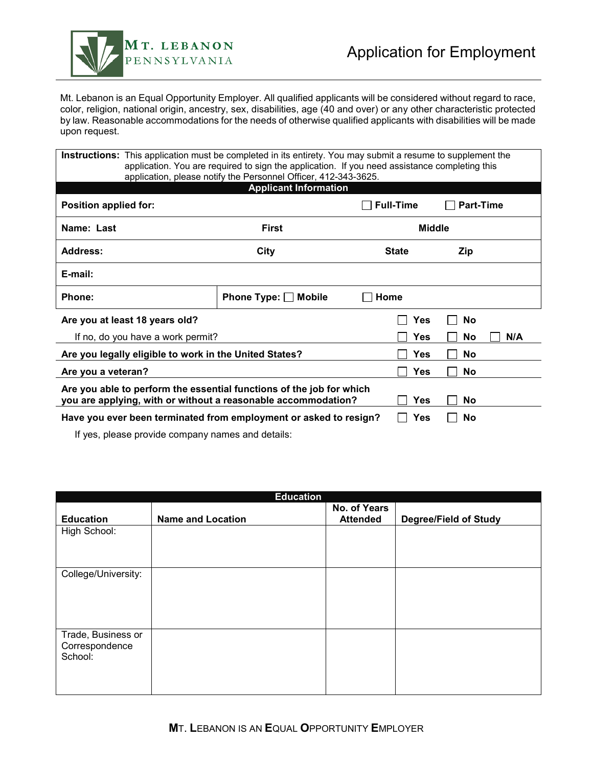Download and save BEFORE completing this form.



### Application for Employment

Mt. Lebanon is an Equal Opportunity Employer. All qualified applicants will be considered without regard to race, color, religion, national origin, ancestry, sex, disabilities, age (40 and over) or any other characteristic protected by law. Reasonable accommodations for the needs of otherwise qualified applicants with disabilities will be made upon request.

| <b>Instructions:</b> This application must be completed in its entirety. You may submit a resume to supplement the<br>application. You are required to sign the application. If you need assistance completing this |                      |                  |                  |  |  |  |
|---------------------------------------------------------------------------------------------------------------------------------------------------------------------------------------------------------------------|----------------------|------------------|------------------|--|--|--|
| application, please notify the Personnel Officer, 412-343-3625.<br><b>Applicant Information</b>                                                                                                                     |                      |                  |                  |  |  |  |
| Position applied for:                                                                                                                                                                                               |                      | <b>Full-Time</b> | <b>Part-Time</b> |  |  |  |
| Name: Last                                                                                                                                                                                                          | First                | <b>Middle</b>    |                  |  |  |  |
| <b>Address:</b>                                                                                                                                                                                                     | City                 | <b>State</b>     | Zip              |  |  |  |
| E-mail:                                                                                                                                                                                                             |                      |                  |                  |  |  |  |
| <b>Phone:</b>                                                                                                                                                                                                       | Phone Type: □ Mobile | Home             |                  |  |  |  |
| Are you at least 18 years old?                                                                                                                                                                                      |                      | Yes              | No               |  |  |  |
| If no, do you have a work permit?                                                                                                                                                                                   |                      | <b>Yes</b>       | N/A<br>No        |  |  |  |
| Are you legally eligible to work in the United States?                                                                                                                                                              |                      | <b>Yes</b>       | No               |  |  |  |
| Are you a veteran?                                                                                                                                                                                                  |                      | <b>Yes</b>       | No               |  |  |  |
| Are you able to perform the essential functions of the job for which<br>you are applying, with or without a reasonable accommodation?<br>No<br><b>Yes</b>                                                           |                      |                  |                  |  |  |  |
| Have you ever been terminated from employment or asked to resign?                                                                                                                                                   |                      | Yes              | No               |  |  |  |
| If year interests in a community in a more and datable in                                                                                                                                                           |                      |                  |                  |  |  |  |

If yes, please provide company names and details:

| <b>Education</b>                                |                          |                                 |                              |  |  |  |
|-------------------------------------------------|--------------------------|---------------------------------|------------------------------|--|--|--|
| <b>Education</b>                                | <b>Name and Location</b> | No. of Years<br><b>Attended</b> | <b>Degree/Field of Study</b> |  |  |  |
| High School:                                    |                          |                                 |                              |  |  |  |
| College/University:                             |                          |                                 |                              |  |  |  |
| Trade, Business or<br>Correspondence<br>School: |                          |                                 |                              |  |  |  |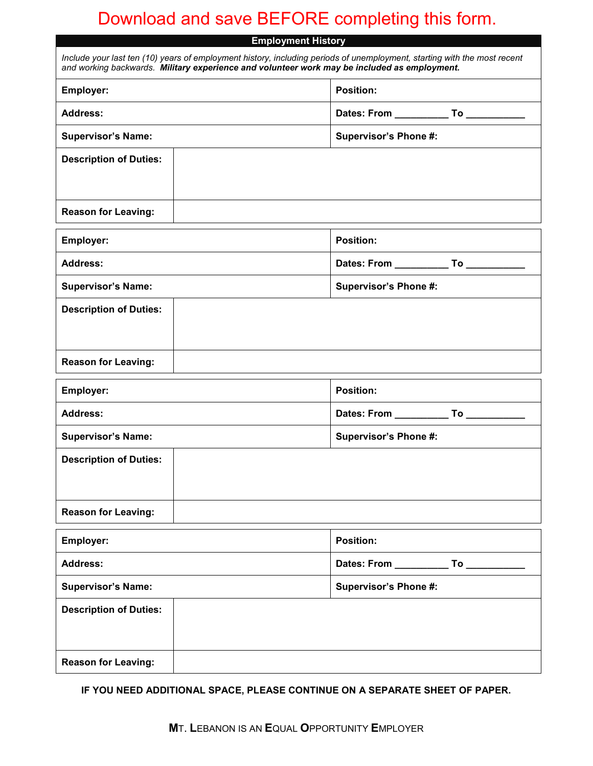# Download and save BEFORE completing this form.

| <b>Employment History</b>                                                                                                                                                                                                |                                               |  |  |  |
|--------------------------------------------------------------------------------------------------------------------------------------------------------------------------------------------------------------------------|-----------------------------------------------|--|--|--|
| Include your last ten (10) years of employment history, including periods of unemployment, starting with the most recent<br>and working backwards. Military experience and volunteer work may be included as employment. |                                               |  |  |  |
| <b>Employer:</b>                                                                                                                                                                                                         | Position:                                     |  |  |  |
| <b>Address:</b>                                                                                                                                                                                                          | Dates: From _______________ To ______________ |  |  |  |
| <b>Supervisor's Name:</b>                                                                                                                                                                                                | <b>Supervisor's Phone #:</b>                  |  |  |  |
| <b>Description of Duties:</b>                                                                                                                                                                                            |                                               |  |  |  |
| <b>Reason for Leaving:</b>                                                                                                                                                                                               |                                               |  |  |  |
| Employer:                                                                                                                                                                                                                | Position:                                     |  |  |  |
| <b>Address:</b>                                                                                                                                                                                                          | Dates: From _______________ To ______________ |  |  |  |
| <b>Supervisor's Name:</b>                                                                                                                                                                                                | <b>Supervisor's Phone #:</b>                  |  |  |  |
| <b>Description of Duties:</b>                                                                                                                                                                                            |                                               |  |  |  |
| <b>Reason for Leaving:</b>                                                                                                                                                                                               |                                               |  |  |  |
| Employer:                                                                                                                                                                                                                | <b>Position:</b>                              |  |  |  |
| <b>Address:</b>                                                                                                                                                                                                          |                                               |  |  |  |
| <b>Supervisor's Name:</b>                                                                                                                                                                                                | Supervisor's Phone #:                         |  |  |  |
| <b>Description of Duties:</b>                                                                                                                                                                                            |                                               |  |  |  |
| <b>Reason for Leaving:</b>                                                                                                                                                                                               |                                               |  |  |  |
| Employer:                                                                                                                                                                                                                | <b>Position:</b>                              |  |  |  |
| <b>Address:</b>                                                                                                                                                                                                          | Dates: From ______________ To _________       |  |  |  |
| <b>Supervisor's Name:</b>                                                                                                                                                                                                | <b>Supervisor's Phone #:</b>                  |  |  |  |
| <b>Description of Duties:</b>                                                                                                                                                                                            |                                               |  |  |  |
| <b>Reason for Leaving:</b>                                                                                                                                                                                               |                                               |  |  |  |

**IF YOU NEED ADDITIONAL SPACE, PLEASE CONTINUE ON A SEPARATE SHEET OF PAPER.**